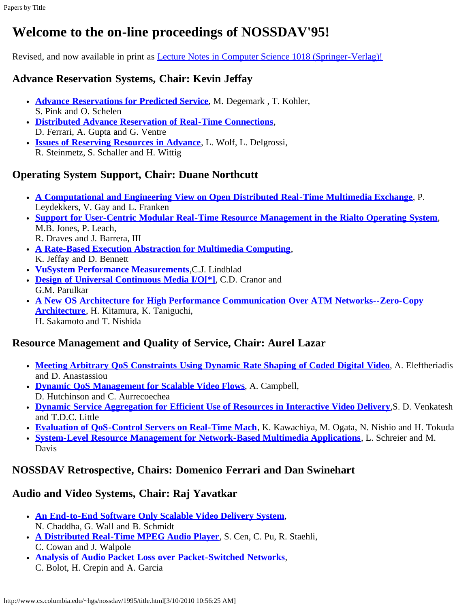# **Welcome to the on-line proceedings of NOSSDAV'95!**

Revised, and now available in print as **[Lecture Notes in Computer Science 1018 \(Springer-Verlag\)!](http://www.cs.columbia.edu/~hgs/nossdav/1995/lncs-procs.html)** 

## **Advance Reservation Systems, Chair: Kevin Jeffay**

- **[Advance Reservations for Predicted Service](http://www.cs.columbia.edu/~hgs/nossdav/1995/abstracts.html#degermark)**, M. Degemark , T. Kohler, S. Pink and O. Schelen
- **[Distributed Advance Reservation of Real-Time Connections](http://www.cs.columbia.edu/~hgs/nossdav/1995/abstracts.html#ferrari)**, D. Ferrari, A. Gupta and G. Ventre
- **[Issues of Reserving Resources in Advance](http://www.cs.columbia.edu/~hgs/nossdav/1995/abstracts.html#wolf)**, L. Wolf, L. Delgrossi, R. Steinmetz, S. Schaller and H. Wittig

## **Operating System Support, Chair: Duane Northcutt**

- **[A Computational and Engineering View on Open Distributed Real-Time Multimedia Exchange](http://www.cs.columbia.edu/~hgs/nossdav/1995/abstracts.html#leydekkers)**, P. Leydekkers, V. Gay and L. Franken
- **[Support for User-Centric Modular Real-Time Resource Management in the Rialto Operating System](http://www.cs.columbia.edu/~hgs/nossdav/1995/abstracts.html#jones)**, M.B. Jones, P. Leach, R. Draves and J. Barrera, III
- **[A Rate-Based Execution Abstraction for Multimedia Computing](http://www.cs.columbia.edu/~hgs/nossdav/1995/abstracts.html#jeffay)**, K. Jeffay and D. Bennett
- **[VuSystem Performance Measurements](http://www.cs.columbia.edu/~hgs/nossdav/1995/abstracts.html#lindblad)**,C.J. Lindblad
- **[Design of Universal Continuous Media I/O\[\\*\]](http://www.cs.columbia.edu/~hgs/nossdav/1995/abstracts.html#cranor)**, C.D. Cranor and G.M. Parulkar
- **[A New OS Architecture for High Performance Communication Over ATM Networks--Zero-Copy](http://www.cs.columbia.edu/~hgs/nossdav/1995/abstracts.html#kitamura) [Architecture](http://www.cs.columbia.edu/~hgs/nossdav/1995/abstracts.html#kitamura)**, H. Kitamura, K. Taniguchi, H. Sakamoto and T. Nishida

## **Resource Management and Quality of Service, Chair: Aurel Lazar**

- **[Meeting Arbitrary QoS Constraints Using Dynamic Rate Shaping of Coded Digital Video](http://www.cs.columbia.edu/~hgs/nossdav/1995/abstracts.html#eleftheriadis)**, A. Eleftheriadis and D. Anastassiou
- **[Dynamic QoS Management for Scalable Video Flows](http://www.cs.columbia.edu/~hgs/nossdav/1995/abstracts.html#campbell)**, A. Campbell, D. Hutchinson and C. Aurrecoechea
- **[Dynamic Service Aggregation for Efficient Use of Resources in Interactive Video Delivery](http://www.cs.columbia.edu/~hgs/nossdav/1995/abstracts.html#venkatesh)**,S. D. Venkatesh and T.D.C. Little
- **[Evaluation of QoS-Control Servers on Real-Time Mach](http://www.cs.columbia.edu/~hgs/nossdav/1995/abstracts.html#kawachiya)**, K. Kawachiya, M. Ogata, N. Nishio and H. Tokuda
- **[System-Level Resource Management for Network-Based Multimedia Applications](http://www.cs.columbia.edu/~hgs/nossdav/1995/abstracts.html#schreier)**, L. Schreier and M. Davis

#### **NOSSDAV Retrospective, Chairs: Domenico Ferrari and Dan Swinehart**

#### **Audio and Video Systems, Chair: Raj Yavatkar**

- **[An End-to-End Software Only Scalable Video Delivery System](http://www.cs.columbia.edu/~hgs/nossdav/1995/abstracts.html#chaddha)**, N. Chaddha, G. Wall and B. Schmidt
- **[A Distributed Real-Time MPEG Audio Player](http://www.cs.columbia.edu/~hgs/nossdav/1995/abstracts.html#cen)**, S. Cen, C. Pu, R. Staehli, C. Cowan and J. Walpole
- **[Analysis of Audio Packet Loss over Packet-Switched Networks](http://www.cs.columbia.edu/~hgs/nossdav/1995/abstracts.html#bolot)**, C. Bolot, H. Crepin and A. Garcia